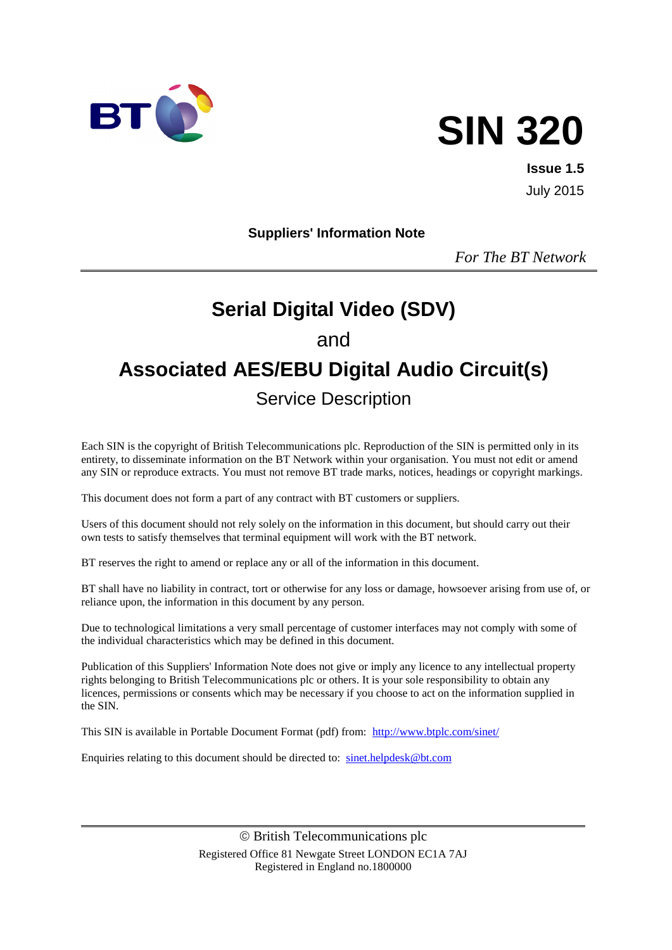

# **SIN 320**

**Issue 1.5** July 2015

#### **Suppliers' Information Note**

*For The BT Network*

# **Serial Digital Video (SDV)** and **Associated AES/EBU Digital Audio Circuit(s)** Service Description

Each SIN is the copyright of British Telecommunications plc. Reproduction of the SIN is permitted only in its entirety, to disseminate information on the BT Network within your organisation. You must not edit or amend any SIN or reproduce extracts. You must not remove BT trade marks, notices, headings or copyright markings.

This document does not form a part of any contract with BT customers or suppliers.

Users of this document should not rely solely on the information in this document, but should carry out their own tests to satisfy themselves that terminal equipment will work with the BT network.

BT reserves the right to amend or replace any or all of the information in this document.

BT shall have no liability in contract, tort or otherwise for any loss or damage, howsoever arising from use of, or reliance upon, the information in this document by any person.

Due to technological limitations a very small percentage of customer interfaces may not comply with some of the individual characteristics which may be defined in this document.

Publication of this Suppliers' Information Note does not give or imply any licence to any intellectual property rights belonging to British Telecommunications plc or others. It is your sole responsibility to obtain any licences, permissions or consents which may be necessary if you choose to act on the information supplied in the SIN.

This SIN is available in Portable Document Format (pdf) from: <http://www.btplc.com/sinet/>

Enquiries relating to this document should be directed to: [sinet.helpdesk@bt.com](mailto:sinet.helpdesk@bt.com)

 British Telecommunications plc Registered Office 81 Newgate Street LONDON EC1A 7AJ Registered in England no.1800000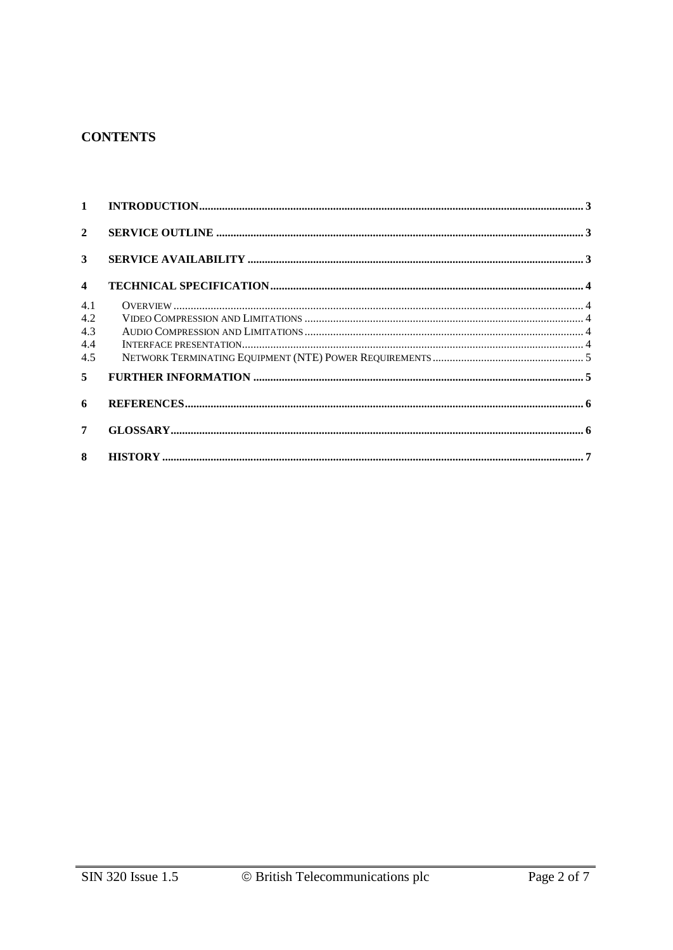#### **CONTENTS**

| $1 \quad$                       |  |
|---------------------------------|--|
| $\overline{2}$                  |  |
| 3                               |  |
| $\boldsymbol{4}$                |  |
| 4.1<br>4.2<br>4.3<br>4.4<br>4.5 |  |
| 5 <sup>1</sup>                  |  |
| 6                               |  |
| 7                               |  |
| 8                               |  |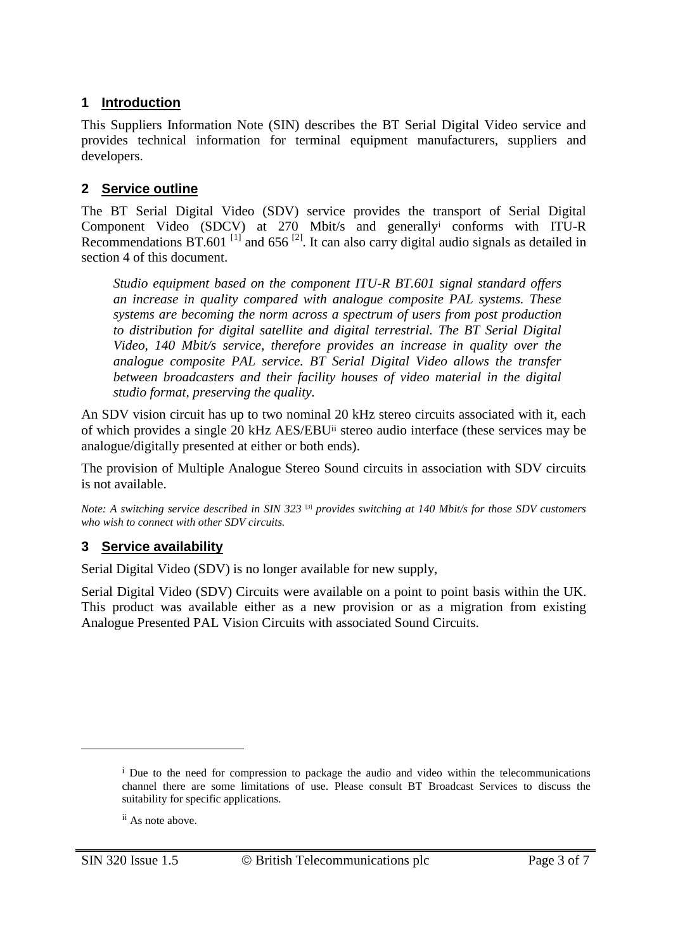#### **1 Introduction**

This Suppliers Information Note (SIN) describes the BT Serial Digital Video service and provides technical information for terminal equipment manufacturers, suppliers and developers.

#### **2 Service outline**

The BT Serial Digital Video (SDV) service provides the transport of Serial Digital Component Video (SDCV) at 270 Mbit/s and generally<sup>i</sup> conforms with ITU-R Recommendations BT.601<sup>[1]</sup> and 656<sup>[2]</sup>. It can also carry digital audio signals as detailed in section 4 of this document.

*Studio equipment based on the component ITU-R BT.601 signal standard offers an increase in quality compared with analogue composite PAL systems. These systems are becoming the norm across a spectrum of users from post production to distribution for digital satellite and digital terrestrial. The BT Serial Digital Video, 140 Mbit/s service, therefore provides an increase in quality over the analogue composite PAL service. BT Serial Digital Video allows the transfer between broadcasters and their facility houses of video material in the digital studio format, preserving the quality.*

An SDV vision circuit has up to two nominal 20 kHz stereo circuits associated with it, each of which provides a single 20 kHz AES/EBUii stereo audio interface (these services may be analogue/digitally presented at either or both ends).

The provision of Multiple Analogue Stereo Sound circuits in association with SDV circuits is not available.

*Note: A switching service described in SIN 323* <sup>[3]</sup> *provides switching at 140 Mbit/s for those SDV customers who wish to connect with other SDV circuits.*

#### **3 Service availability**

Serial Digital Video (SDV) is no longer available for new supply,

Serial Digital Video (SDV) Circuits were available on a point to point basis within the UK. This product was available either as a new provision or as a migration from existing Analogue Presented PAL Vision Circuits with associated Sound Circuits.

<u>.</u>

<sup>&</sup>lt;sup>i</sup> Due to the need for compression to package the audio and video within the telecommunications channel there are some limitations of use. Please consult BT Broadcast Services to discuss the suitability for specific applications.

ii As note above.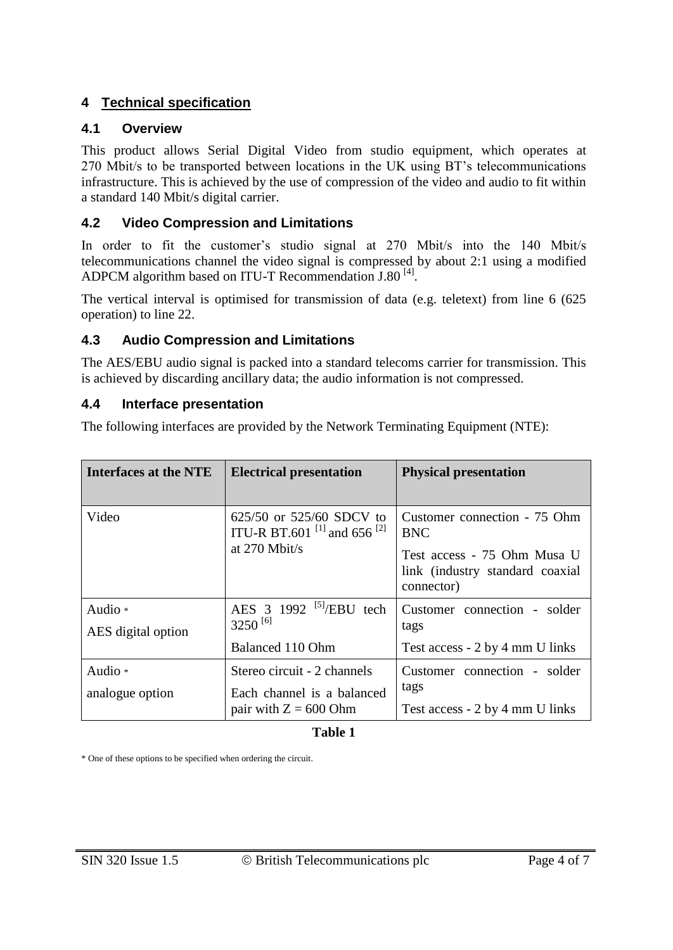#### **4 Technical specification**

#### **4.1 Overview**

This product allows Serial Digital Video from studio equipment, which operates at 270 Mbit/s to be transported between locations in the UK using BT's telecommunications infrastructure. This is achieved by the use of compression of the video and audio to fit within a standard 140 Mbit/s digital carrier.

#### **4.2 Video Compression and Limitations**

In order to fit the customer's studio signal at 270 Mbit/s into the 140 Mbit/s telecommunications channel the video signal is compressed by about 2:1 using a modified ADPCM algorithm based on ITU-T Recommendation J.80<sup>[4]</sup>.

The vertical interval is optimised for transmission of data (e.g. teletext) from line 6 (625 operation) to line 22.

#### **4.3 Audio Compression and Limitations**

The AES/EBU audio signal is packed into a standard telecoms carrier for transmission. This is achieved by discarding ancillary data; the audio information is not compressed.

#### **4.4 Interface presentation**

The following interfaces are provided by the Network Terminating Equipment (NTE):

| Interfaces at the NTE         | <b>Electrical presentation</b>                                                                    | <b>Physical presentation</b>                                                                                               |
|-------------------------------|---------------------------------------------------------------------------------------------------|----------------------------------------------------------------------------------------------------------------------------|
| Video                         | 625/50 or 525/60 SDCV to<br>ITU-R BT.601 <sup>[1]</sup> and 656 <sup>[2]</sup><br>at $270$ Mbit/s | Customer connection - 75 Ohm<br><b>BNC</b><br>Test access - 75 Ohm Musa U<br>link (industry standard coaxial<br>connector) |
| Audio *<br>AES digital option | AES $3 \frac{1992}{5}$ /EBU tech<br>$3250^{[6]}$<br>Balanced 110 Ohm                              | Customer connection - solder<br>tags<br>Test access - 2 by 4 mm U links                                                    |
| Audio *<br>analogue option    | Stereo circuit - 2 channels<br>Each channel is a balanced<br>pair with $Z = 600$ Ohm              | Customer connection - solder<br>tags<br>Test access - 2 by 4 mm U links                                                    |

#### **Table 1**

\* One of these options to be specified when ordering the circuit.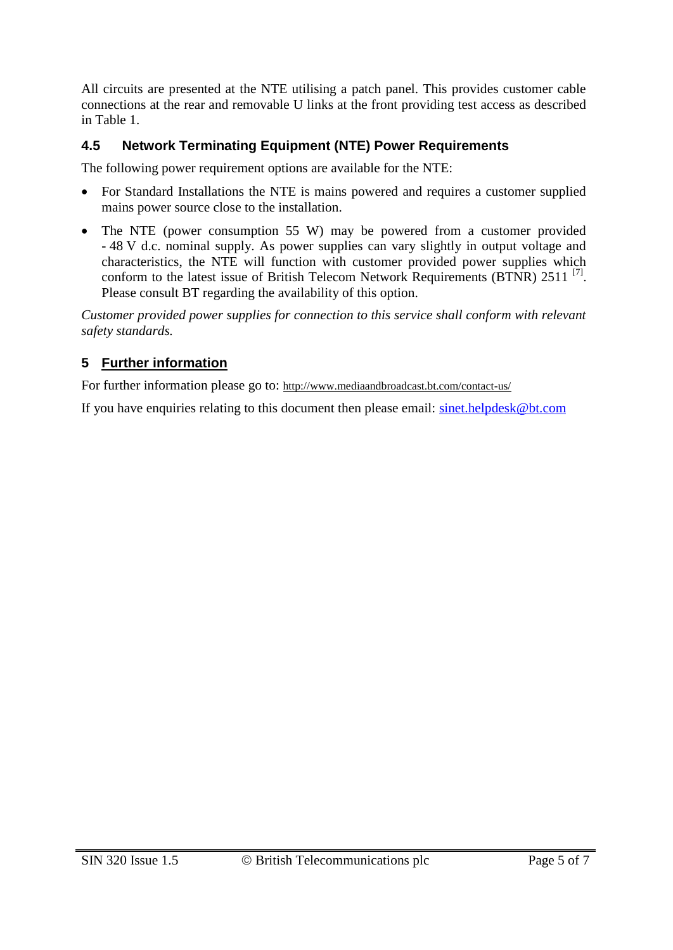All circuits are presented at the NTE utilising a patch panel. This provides customer cable connections at the rear and removable U links at the front providing test access as described in Table 1.

### **4.5 Network Terminating Equipment (NTE) Power Requirements**

The following power requirement options are available for the NTE:

- For Standard Installations the NTE is mains powered and requires a customer supplied mains power source close to the installation.
- The NTE (power consumption 55 W) may be powered from a customer provided - 48 V d.c. nominal supply. As power supplies can vary slightly in output voltage and characteristics, the NTE will function with customer provided power supplies which conform to the latest issue of British Telecom Network Requirements (BTNR) 2511<sup>[7]</sup>. Please consult BT regarding the availability of this option.

*Customer provided power supplies for connection to this service shall conform with relevant safety standards.*

## **5 Further information**

For further information please go to: <http://www.mediaandbroadcast.bt.com/contact-us/>

If you have enquiries relating to this document then please email: [sinet.helpdesk@bt.com](mailto:sinet.helpdesk@bt.com)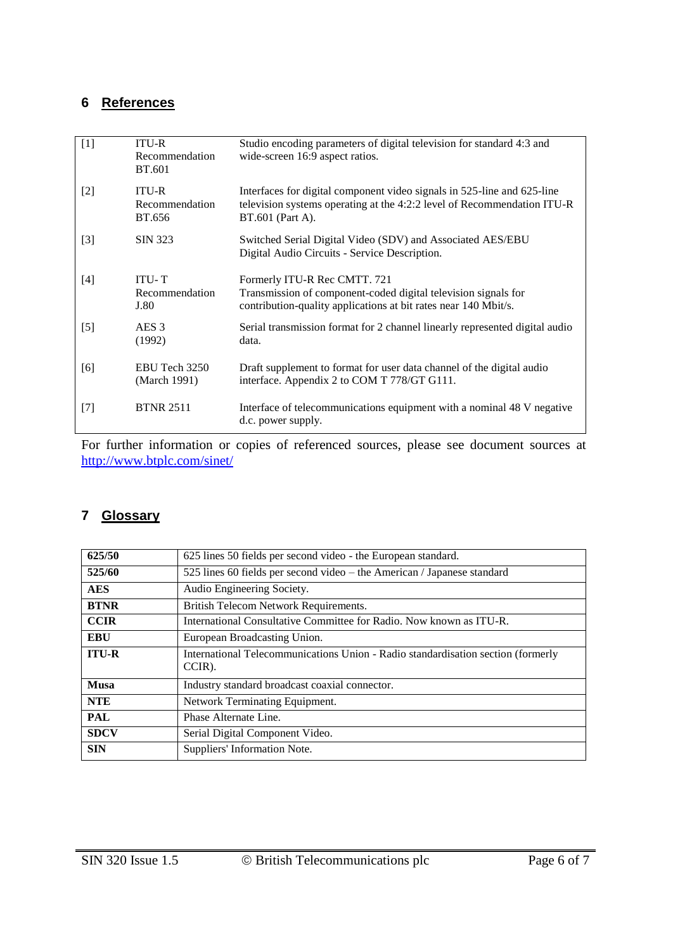#### **6 References**

| [1]   | <b>ITU-R</b><br>Recommendation<br><b>BT.601</b> | Studio encoding parameters of digital television for standard 4:3 and<br>wide-screen 16:9 aspect ratios.                                                               |
|-------|-------------------------------------------------|------------------------------------------------------------------------------------------------------------------------------------------------------------------------|
| $[2]$ | <b>ITU-R</b><br>Recommendation<br>BT.656        | Interfaces for digital component video signals in 525-line and 625-line<br>television systems operating at the 4:2:2 level of Recommendation ITU-R<br>BT.601 (Part A). |
| $[3]$ | SIN 323                                         | Switched Serial Digital Video (SDV) and Associated AES/EBU<br>Digital Audio Circuits - Service Description.                                                            |
| $[4]$ | <b>ITU-T</b><br>Recommendation<br>J.80          | Formerly ITU-R Rec CMTT. 721<br>Transmission of component-coded digital television signals for<br>contribution-quality applications at bit rates near 140 Mbit/s.      |
| $[5]$ | AES <sub>3</sub><br>(1992)                      | Serial transmission format for 2 channel linearly represented digital audio<br>data.                                                                                   |
| [6]   | EBU Tech 3250<br>(March 1991)                   | Draft supplement to format for user data channel of the digital audio<br>interface. Appendix 2 to COM T 778/GT G111.                                                   |
| $[7]$ | <b>BTNR 2511</b>                                | Interface of telecommunications equipment with a nominal 48 V negative<br>d.c. power supply.                                                                           |

For further information or copies of referenced sources, please see document sources at <http://www.btplc.com/sinet/>

#### **7 Glossary**

| 625/50       | 625 lines 50 fields per second video - the European standard.                              |
|--------------|--------------------------------------------------------------------------------------------|
| 525/60       | 525 lines 60 fields per second video – the American / Japanese standard                    |
| <b>AES</b>   | Audio Engineering Society.                                                                 |
| <b>BTNR</b>  | British Telecom Network Requirements.                                                      |
| <b>CCIR</b>  | International Consultative Committee for Radio. Now known as ITU-R.                        |
| <b>EBU</b>   | European Broadcasting Union.                                                               |
| <b>ITU-R</b> | International Telecommunications Union - Radio standardisation section (formerly<br>CCIR). |
| <b>Musa</b>  | Industry standard broadcast coaxial connector.                                             |
| <b>NTE</b>   | Network Terminating Equipment.                                                             |
| <b>PAL</b>   | Phase Alternate Line.                                                                      |
| <b>SDCV</b>  | Serial Digital Component Video.                                                            |
| <b>SIN</b>   | Suppliers' Information Note.                                                               |